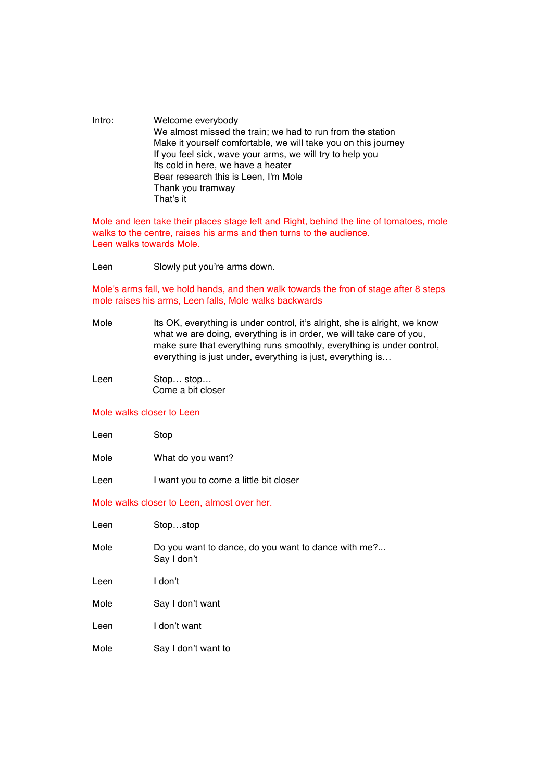Intro: Welcome everybody We almost missed the train; we had to run from the station Make it yourself comfortable, we will take you on this journey If you feel sick, wave your arms, we will try to help you Its cold in here, we have a heater Bear research this is Leen, I'm Mole Thank you tramway That's it

Mole and leen take their places stage left and Right, behind the line of tomatoes, mole walks to the centre, raises his arms and then turns to the audience. Leen walks towards Mole.

Leen Slowly put you're arms down.

Mole's arms fall, we hold hands, and then walk towards the fron of stage after 8 steps mole raises his arms, Leen falls, Mole walks backwards

- Mole Its OK, everything is under control, it's alright, she is alright, we know what we are doing, everything is in order, we will take care of you, make sure that everything runs smoothly, everything is under control, everything is just under, everything is just, everything is…
- Leen Stop... stop... Come a bit closer

## Mole walks closer to Leen

| <b>Stop</b> |
|-------------|
|             |

- Mole What do you want?
- Leen I want you to come a little bit closer

## Mole walks closer to Leen, almost over her.

| Leen | Stopstop                                                           |
|------|--------------------------------------------------------------------|
| Mole | Do you want to dance, do you want to dance with me?<br>Say I don't |
| Leen | I don't                                                            |
| Mole | Say I don't want                                                   |
| Leen | I don't want                                                       |
| Mole | Say I don't want to                                                |